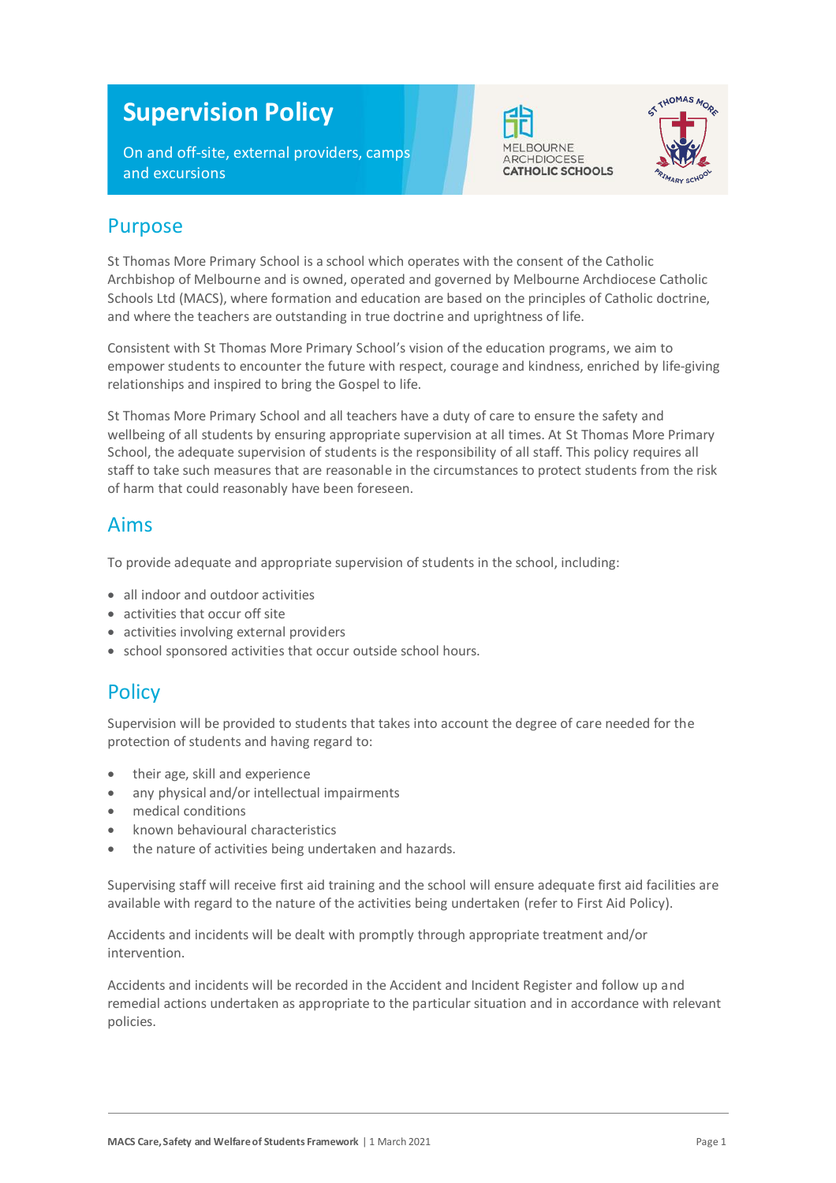# **Supervision Policy**

On and off-site, external providers, camps and excursions





#### Purpose

St Thomas More Primary School is a school which operates with the consent of the Catholic Archbishop of Melbourne and is owned, operated and governed by Melbourne Archdiocese Catholic Schools Ltd (MACS), where formation and education are based on the principles of Catholic doctrine, and where the teachers are outstanding in true doctrine and uprightness of life.

Consistent with St Thomas More Primary School's vision of the education programs, we aim to empower students to encounter the future with respect, courage and kindness, enriched by life-giving relationships and inspired to bring the Gospel to life.

St Thomas More Primary School and all teachers have a duty of care to ensure the safety and wellbeing of all students by ensuring appropriate supervision at all times. At St Thomas More Primary School, the adequate supervision of students is the responsibility of all staff. This policy requires all staff to take such measures that are reasonable in the circumstances to protect students from the risk of harm that could reasonably have been foreseen.

#### Aims

To provide adequate and appropriate supervision of students in the school, including:

- all indoor and outdoor activities
- activities that occur off site
- activities involving external providers
- school sponsored activities that occur outside school hours.

#### **Policy**

Supervision will be provided to students that takes into account the degree of care needed for the protection of students and having regard to:

- their age, skill and experience
- any physical and/or intellectual impairments
- medical conditions
- known behavioural characteristics
- the nature of activities being undertaken and hazards.

Supervising staff will receive first aid training and the school will ensure adequate first aid facilities are available with regard to the nature of the activities being undertaken (refer to First Aid Policy).

Accidents and incidents will be dealt with promptly through appropriate treatment and/or intervention.

Accidents and incidents will be recorded in the Accident and Incident Register and follow up and remedial actions undertaken as appropriate to the particular situation and in accordance with relevant policies.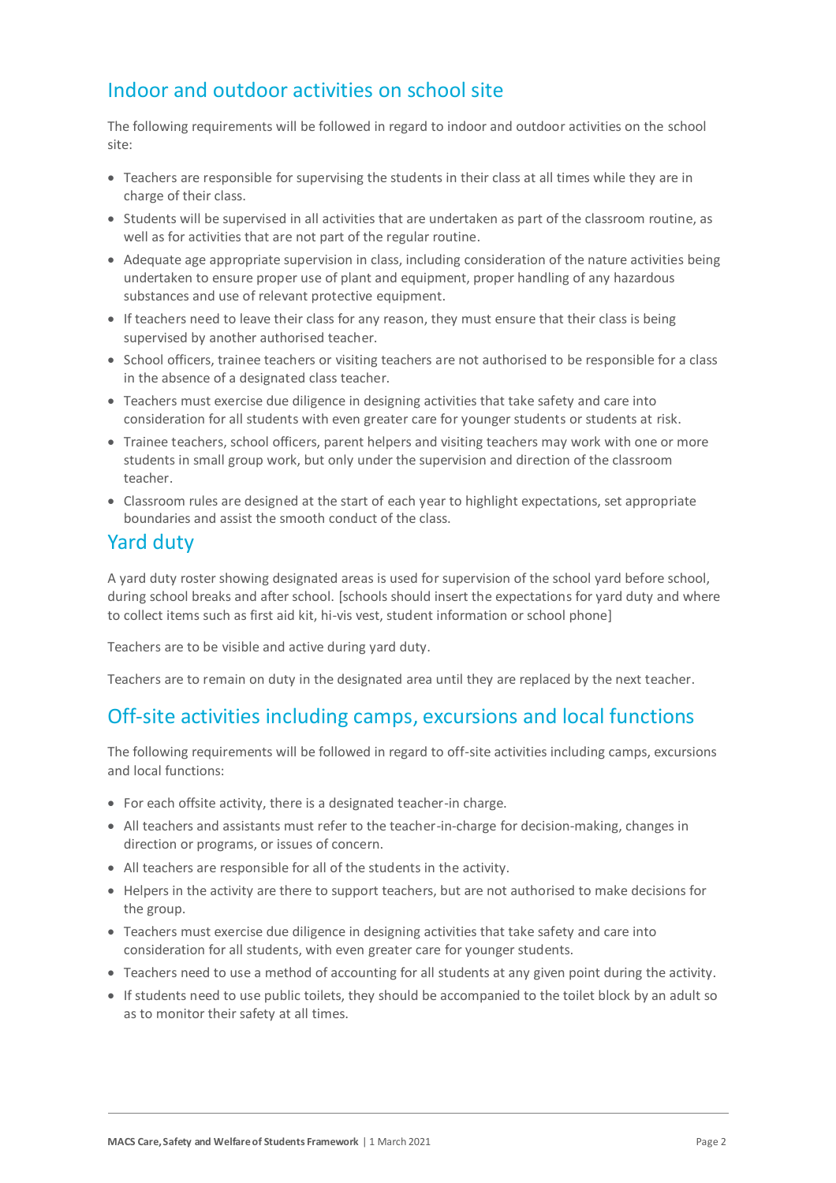# Indoor and outdoor activities on school site

The following requirements will be followed in regard to indoor and outdoor activities on the school site:

- Teachers are responsible for supervising the students in their class at all times while they are in charge of their class.
- Students will be supervised in all activities that are undertaken as part of the classroom routine, as well as for activities that are not part of the regular routine.
- Adequate age appropriate supervision in class, including consideration of the nature activities being undertaken to ensure proper use of plant and equipment, proper handling of any hazardous substances and use of relevant protective equipment.
- If teachers need to leave their class for any reason, they must ensure that their class is being supervised by another authorised teacher.
- School officers, trainee teachers or visiting teachers are not authorised to be responsible for a class in the absence of a designated class teacher.
- Teachers must exercise due diligence in designing activities that take safety and care into consideration for all students with even greater care for younger students or students at risk.
- Trainee teachers, school officers, parent helpers and visiting teachers may work with one or more students in small group work, but only under the supervision and direction of the classroom teacher.
- Classroom rules are designed at the start of each year to highlight expectations, set appropriate boundaries and assist the smooth conduct of the class.

#### Yard duty

A yard duty roster showing designated areas is used for supervision of the school yard before school, during school breaks and after school. [schools should insert the expectations for yard duty and where to collect items such as first aid kit, hi-vis vest, student information or school phone]

Teachers are to be visible and active during yard duty.

Teachers are to remain on duty in the designated area until they are replaced by the next teacher.

## Off-site activities including camps, excursions and local functions

The following requirements will be followed in regard to off-site activities including camps, excursions and local functions:

- For each offsite activity, there is a designated teacher-in charge.
- All teachers and assistants must refer to the teacher-in-charge for decision-making, changes in direction or programs, or issues of concern.
- All teachers are responsible for all of the students in the activity.
- Helpers in the activity are there to support teachers, but are not authorised to make decisions for the group.
- Teachers must exercise due diligence in designing activities that take safety and care into consideration for all students, with even greater care for younger students.
- Teachers need to use a method of accounting for all students at any given point during the activity.
- If students need to use public toilets, they should be accompanied to the toilet block by an adult so as to monitor their safety at all times.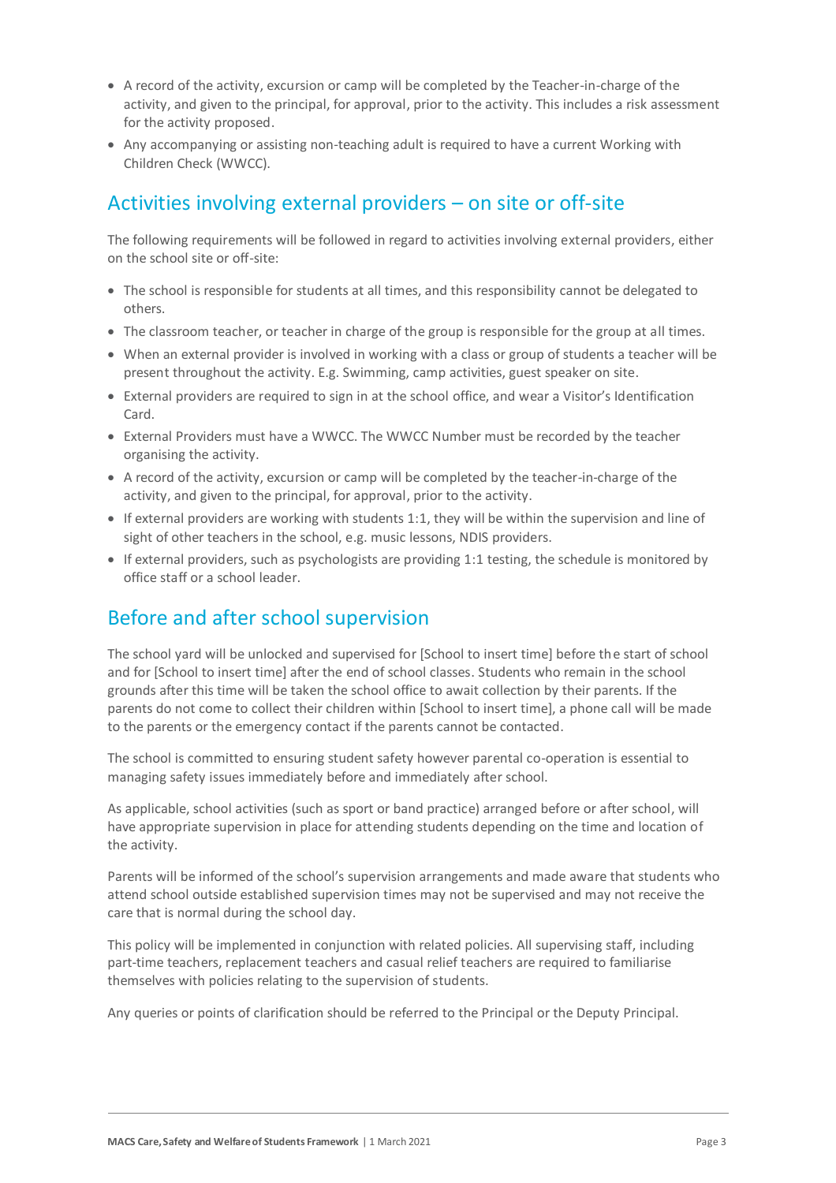- A record of the activity, excursion or camp will be completed by the Teacher-in-charge of the activity, and given to the principal, for approval, prior to the activity. This includes a risk assessment for the activity proposed.
- Any accompanying or assisting non-teaching adult is required to have a current Working with Children Check (WWCC).

#### Activities involving external providers – on site or off-site

The following requirements will be followed in regard to activities involving external providers, either on the school site or off-site:

- The school is responsible for students at all times, and this responsibility cannot be delegated to others.
- The classroom teacher, or teacher in charge of the group is responsible for the group at all times.
- When an external provider is involved in working with a class or group of students a teacher will be present throughout the activity. E.g. Swimming, camp activities, guest speaker on site.
- External providers are required to sign in at the school office, and wear a Visitor's Identification Card.
- External Providers must have a WWCC. The WWCC Number must be recorded by the teacher organising the activity.
- A record of the activity, excursion or camp will be completed by the teacher-in-charge of the activity, and given to the principal, for approval, prior to the activity.
- If external providers are working with students 1:1, they will be within the supervision and line of sight of other teachers in the school, e.g. music lessons, NDIS providers.
- If external providers, such as psychologists are providing 1:1 testing, the schedule is monitored by office staff or a school leader.

## Before and after school supervision

The school yard will be unlocked and supervised for [School to insert time] before the start of school and for [School to insert time] after the end of school classes. Students who remain in the school grounds after this time will be taken the school office to await collection by their parents. If the parents do not come to collect their children within [School to insert time], a phone call will be made to the parents or the emergency contact if the parents cannot be contacted.

The school is committed to ensuring student safety however parental co-operation is essential to managing safety issues immediately before and immediately after school.

As applicable, school activities (such as sport or band practice) arranged before or after school, will have appropriate supervision in place for attending students depending on the time and location of the activity.

Parents will be informed of the school's supervision arrangements and made aware that students who attend school outside established supervision times may not be supervised and may not receive the care that is normal during the school day.

This policy will be implemented in conjunction with related policies. All supervising staff, including part-time teachers, replacement teachers and casual relief teachers are required to familiarise themselves with policies relating to the supervision of students.

Any queries or points of clarification should be referred to the Principal or the Deputy Principal.